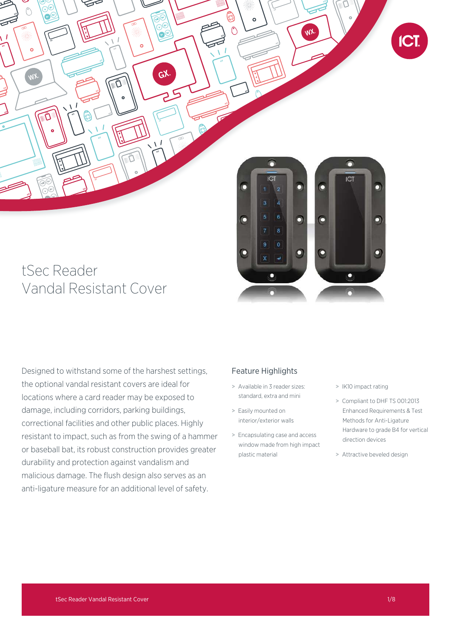

# tSec Reader Vandal Resistant Cover

Designed to withstand some of the harshest settings, the optional vandal resistant covers are ideal for locations where a card reader may be exposed to damage, including corridors, parking buildings, correctional facilities and other public places. Highly resistant to impact, such as from the swing of a hammer or baseball bat, its robust construction provides greater durability and protection against vandalism and malicious damage. The flush design also serves as an anti-ligature measure for an additional level of safety.

## Feature Highlights

- > Available in 3 reader sizes: standard, extra and mini
- > Easily mounted on interior/exterior walls
- > Encapsulating case and access window made from high impact plastic material
- > IK10 impact rating
- > Compliant to DHF TS 001:2013 Enhanced Requirements & Test Methods for Anti-Ligature Hardware to grade B4 for vertical direction devices
- > Attractive beveled design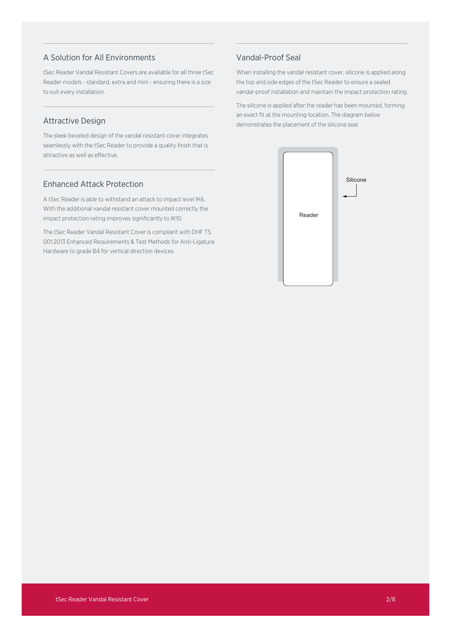## A Solution for All Environments

tSec Reader Vandal Resistant Covers are available for all three tSec Reader models - standard, extra and mini - ensuring there is a size to suit every installation.

## Attractive Design

The sleek beveled design of the vandal resistant cover integrates seamlessly with the tSec Reader to provide a quality finish that is attractive as well as effective.

## Enhanced Attack Protection

A tSec Reader is able to withstand an attack to impact level IK6. With the additional vandal resistant cover mounted correctly the impact protection rating improves significantly to IK10.

The tSec Reader Vandal Resistant Cover is compliant with DHF TS 001:2013 Enhanced Requirements & Test Methods for Anti-Ligature Hardware to grade B4 for vertical direction devices.

## Vandal-Proof Seal

When installing the vandal resistant cover, silicone is applied along the top and side edges of the tSec Reader to ensure a sealed vandal-proof installation and maintain the impact protection rating.

The silicone is applied after the reader has been mounted, forming an exact fit at the mounting location. The diagram below demonstrates the placement of the silicone seal.

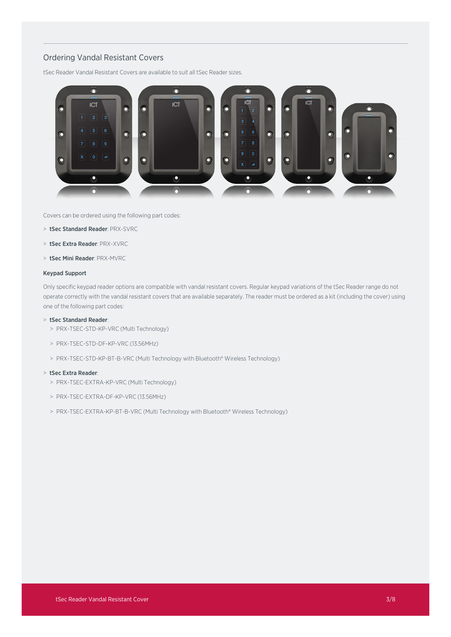## Ordering Vandal Resistant Covers

tSec Reader Vandal Resistant Covers are available to suit all tSec Reader sizes.



Covers can be ordered using the following part codes:

- > tSec Standard Reader: PRX-SVRC
- > tSec Extra Reader: PRX-XVRC
- > tSec Mini Reader: PRX-MVRC

#### Keypad Support

Only specific keypad reader options are compatible with vandal resistant covers. Regular keypad variations of the tSec Reader range do not operate correctly with the vandal resistant covers that are available separately. The reader must be ordered as a kit (including the cover) using one of the following part codes:

### > tSec Standard Reader:

- > PRX-TSEC-STD-KP-VRC (Multi Technology)
- > PRX-TSEC-STD-DF-KP-VRC (13.56MHz)
- > PRX-TSEC-STD-KP-BT-B-VRC (Multi Technology with Bluetooth® Wireless Technology)

#### > tSec Extra Reader:

- > PRX-TSEC-EXTRA-KP-VRC (Multi Technology)
- > PRX-TSEC-EXTRA-DF-KP-VRC (13.56MHz)
- > PRX-TSEC-EXTRA-KP-BT-B-VRC (Multi Technology with Bluetooth® Wireless Technology)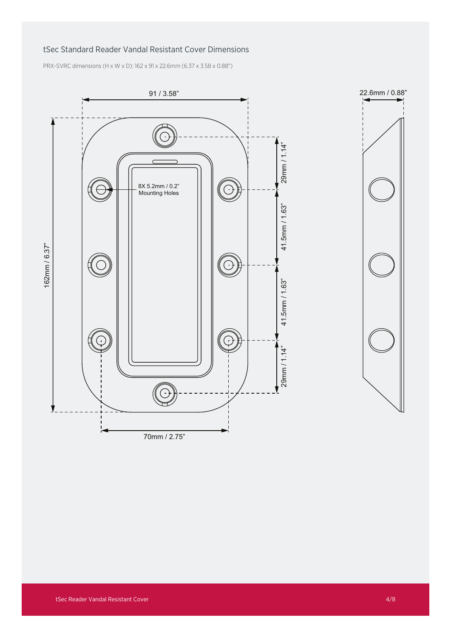## tSec Standard Reader Vandal Resistant Cover Dimensions

PRX-SVRC dimensions (H x W x D): 162 x 91 x 22.6mm (6.37 x 3.58 x 0.88")



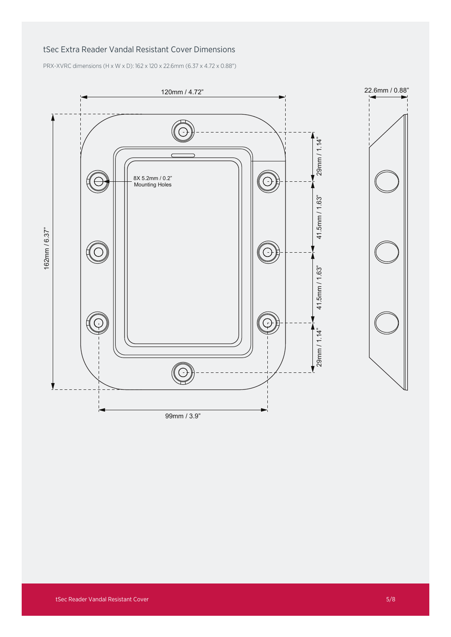## tSec Extra Reader Vandal Resistant Cover Dimensions

PRX-XVRC dimensions (H x W x D): 162 x 120 x 22.6mm (6.37 x 4.72 x 0.88")

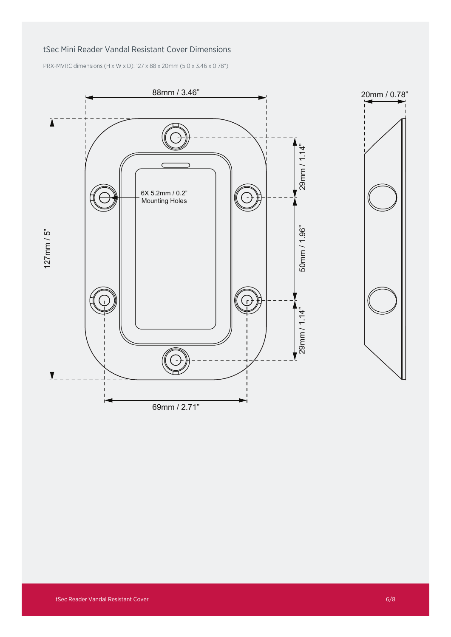## tSec Mini Reader Vandal Resistant Cover Dimensions

PRX-MVRC dimensions (H x W x D): 127 x 88 x 20mm (5.0 x 3.46 x 0.78")



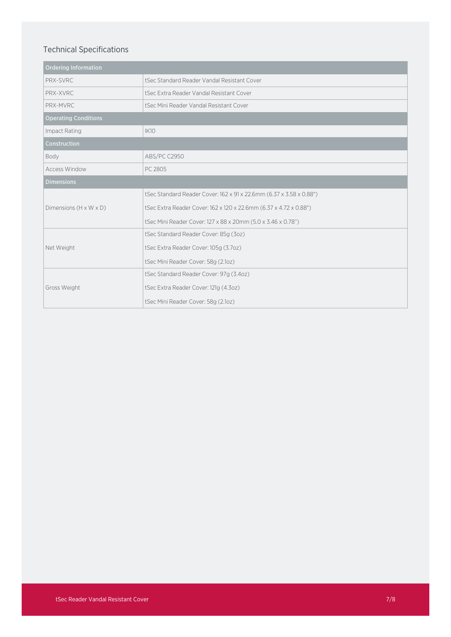## Technical Specifications

| <b>Ordering Information</b>        |                                                                     |
|------------------------------------|---------------------------------------------------------------------|
| PRX-SVRC                           | tSec Standard Reader Vandal Resistant Cover                         |
| PRX-XVRC                           | tSec Extra Reader Vandal Resistant Cover                            |
| PRX-MVRC                           | tSec Mini Reader Vandal Resistant Cover                             |
| <b>Operating Conditions</b>        |                                                                     |
| Impact Rating                      | <b>IK10</b>                                                         |
| Construction                       |                                                                     |
| Body                               | ABS/PC C2950                                                        |
| <b>Access Window</b>               | PC 2805                                                             |
| <b>Dimensions</b>                  |                                                                     |
|                                    | tSec Standard Reader Cover: 162 x 91 x 22.6mm (6.37 x 3.58 x 0.88") |
| Dimensions $(H \times W \times D)$ | tSec Extra Reader Cover: 162 x 120 x 22.6mm (6.37 x 4.72 x 0.88")   |
|                                    | tSec Mini Reader Cover: 127 x 88 x 20mm (5.0 x 3.46 x 0.78")        |
|                                    | tSec Standard Reader Cover: 85g (3oz)                               |
| Net Weight                         | tSec Extra Reader Cover: 105g (3.7oz)                               |
|                                    | tSec Mini Reader Cover: 58g (2.1oz)                                 |
|                                    | tSec Standard Reader Cover: 97g (3.4oz)                             |
| Gross Weight                       | tSec Extra Reader Cover: 121g (4.3oz)                               |
|                                    | tSec Mini Reader Cover: 58g (2.1oz)                                 |